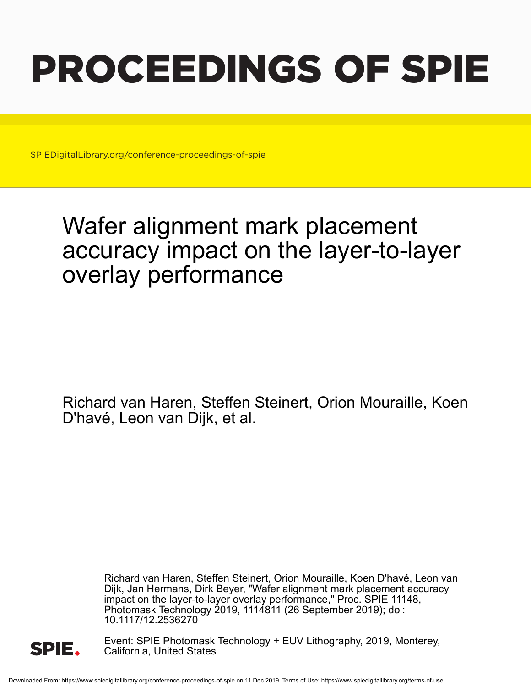# PROCEEDINGS OF SPIE

SPIEDigitalLibrary.org/conference-proceedings-of-spie

## Wafer alignment mark placement accuracy impact on the layer-to-layer overlay performance

Richard van Haren, Steffen Steinert, Orion Mouraille, Koen D'havé, Leon van Dijk, et al.

> Richard van Haren, Steffen Steinert, Orion Mouraille, Koen D'havé, Leon van Dijk, Jan Hermans, Dirk Beyer, "Wafer alignment mark placement accuracy impact on the layer-to-layer overlay performance," Proc. SPIE 11148, Photomask Technology 2019, 1114811 (26 September 2019); doi: 10.1117/12.2536270



Event: SPIE Photomask Technology + EUV Lithography, 2019, Monterey, California, United States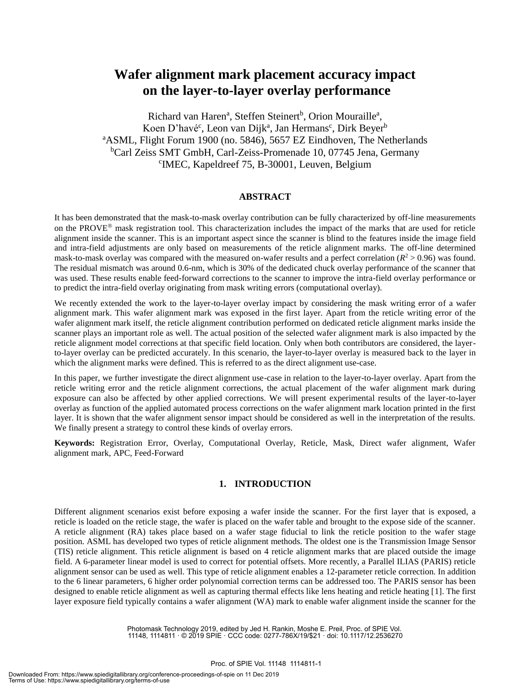### **Wafer alignment mark placement accuracy impact on the layer-to-layer overlay performance**

Richard van Haren<sup>a</sup>, Steffen Steinert<sup>b</sup>, Orion Mouraille<sup>a</sup>, Koen D'havé<sup>c</sup>, Leon van Dijk<sup>a</sup>, Jan Hermans<sup>c</sup>, Dirk Beyer<sup>b</sup> <sup>a</sup>ASML, Flight Forum 1900 (no. 5846), 5657 EZ Eindhoven, The Netherlands <sup>b</sup>Carl Zeiss SMT GmbH, Carl-Zeiss-Promenade 10, 07745 Jena, Germany c IMEC, Kapeldreef 75, B-30001, Leuven, Belgium

#### **ABSTRACT**

It has been demonstrated that the mask-to-mask overlay contribution can be fully characterized by off-line measurements on the PROVE® mask registration tool. This characterization includes the impact of the marks that are used for reticle alignment inside the scanner. This is an important aspect since the scanner is blind to the features inside the image field and intra-field adjustments are only based on measurements of the reticle alignment marks. The off-line determined mask-to-mask overlay was compared with the measured on-wafer results and a perfect correlation  $(R^2 > 0.96)$  was found. The residual mismatch was around 0.6-nm, which is 30% of the dedicated chuck overlay performance of the scanner that was used. These results enable feed-forward corrections to the scanner to improve the intra-field overlay performance or to predict the intra-field overlay originating from mask writing errors (computational overlay).

We recently extended the work to the layer-to-layer overlay impact by considering the mask writing error of a wafer alignment mark. This wafer alignment mark was exposed in the first layer. Apart from the reticle writing error of the wafer alignment mark itself, the reticle alignment contribution performed on dedicated reticle alignment marks inside the scanner plays an important role as well. The actual position of the selected wafer alignment mark is also impacted by the reticle alignment model corrections at that specific field location. Only when both contributors are considered, the layerto-layer overlay can be predicted accurately. In this scenario, the layer-to-layer overlay is measured back to the layer in which the alignment marks were defined. This is referred to as the direct alignment use-case.

In this paper, we further investigate the direct alignment use-case in relation to the layer-to-layer overlay. Apart from the reticle writing error and the reticle alignment corrections, the actual placement of the wafer alignment mark during exposure can also be affected by other applied corrections. We will present experimental results of the layer-to-layer overlay as function of the applied automated process corrections on the wafer alignment mark location printed in the first layer. It is shown that the wafer alignment sensor impact should be considered as well in the interpretation of the results. We finally present a strategy to control these kinds of overlay errors.

**Keywords:** Registration Error, Overlay, Computational Overlay, Reticle, Mask, Direct wafer alignment, Wafer alignment mark, APC, Feed-Forward

#### **1. INTRODUCTION**

Different alignment scenarios exist before exposing a wafer inside the scanner. For the first layer that is exposed, a reticle is loaded on the reticle stage, the wafer is placed on the wafer table and brought to the expose side of the scanner. A reticle alignment (RA) takes place based on a wafer stage fiducial to link the reticle position to the wafer stage position. ASML has developed two types of reticle alignment methods. The oldest one is the Transmission Image Sensor (TIS) reticle alignment. This reticle alignment is based on 4 reticle alignment marks that are placed outside the image field. A 6-parameter linear model is used to correct for potential offsets. More recently, a Parallel ILIAS (PARIS) reticle alignment sensor can be used as well. This type of reticle alignment enables a 12-parameter reticle correction. In addition to the 6 linear parameters, 6 higher order polynomial correction terms can be addressed too. The PARIS sensor has been designed to enable reticle alignment as well as capturing thermal effects like lens heating and reticle heating [1]. The first layer exposure field typically contains a wafer alignment (WA) mark to enable wafer alignment inside the scanner for the

> Photomask Technology 2019, edited by Jed H. Rankin, Moshe E. Preil, Proc. of SPIE Vol. 11148, 1114811 · © 2019 SPIE · CCC code: 0277-786X/19/\$21 · doi: 10.1117/12.2536270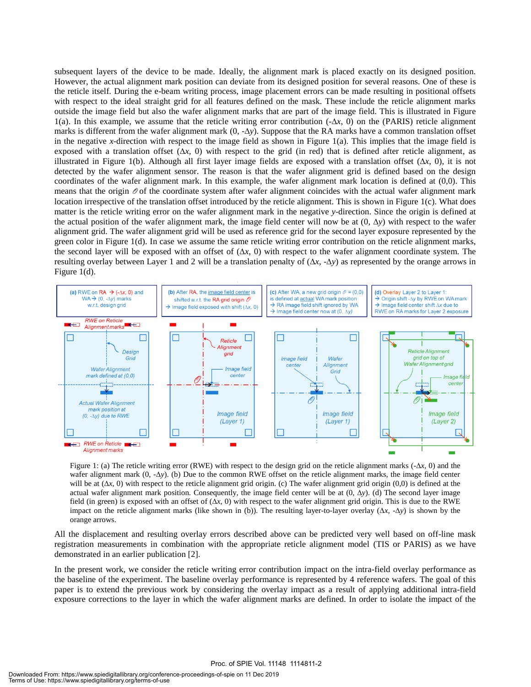subsequent layers of the device to be made. Ideally, the alignment mark is placed exactly on its designed position. However, the actual alignment mark position can deviate from its designed position for several reasons. One of these is the reticle itself. During the e-beam writing process, image placement errors can be made resulting in positional offsets with respect to the ideal straight grid for all features defined on the mask. These include the reticle alignment marks outside the image field but also the wafer alignment marks that are part of the image field. This is illustrated in Figure 1(a). In this example, we assume that the reticle writing error contribution (-∆*x*, 0) on the (PARIS) reticle alignment marks is different from the wafer alignment mark (0, -∆*y*). Suppose that the RA marks have a common translation offset in the negative *x*-direction with respect to the image field as shown in Figure  $1(a)$ . This implies that the image field is exposed with a translation offset  $(\Delta x, 0)$  with respect to the grid (in red) that is defined after reticle alignment, as illustrated in Figure 1(b). Although all first layer image fields are exposed with a translation offset (∆*x*, 0), it is not detected by the wafer alignment sensor. The reason is that the wafer alignment grid is defined based on the design coordinates of the wafer alignment mark. In this example, the wafer alignment mark location is defined at (0,0). This means that the origin  $\mathcal O$  of the coordinate system after wafer alignment coincides with the actual wafer alignment mark location irrespective of the translation offset introduced by the reticle alignment. This is shown in Figure 1(c). What does matter is the reticle writing error on the wafer alignment mark in the negative *y*-direction. Since the origin is defined at the actual position of the wafer alignment mark, the image field center will now be at (0, ∆*y*) with respect to the wafer alignment grid. The wafer alignment grid will be used as reference grid for the second layer exposure represented by the green color in Figure 1(d). In case we assume the same reticle writing error contribution on the reticle alignment marks, the second layer will be exposed with an offset of (∆*x*, 0) with respect to the wafer alignment coordinate system. The resulting overlay between Layer 1 and 2 will be a translation penalty of  $(\Delta x, -\Delta y)$  as represented by the orange arrows in Figure 1(d).



Figure 1: (a) The reticle writing error (RWE) with respect to the design grid on the reticle alignment marks (-∆*x*, 0) and the wafer alignment mark (0, -∆*y*). (b) Due to the common RWE offset on the reticle alignment marks, the image field center will be at (∆*x*, 0) with respect to the reticle alignment grid origin. (c) The wafer alignment grid origin (0,0) is defined at the actual wafer alignment mark position. Consequently, the image field center will be at (0, ∆*y*). (d) The second layer image field (in green) is exposed with an offset of (∆*x*, 0) with respect to the wafer alignment grid origin. This is due to the RWE impact on the reticle alignment marks (like shown in (b)). The resulting layer-to-layer overlay (∆*x*, -∆*y*) is shown by the orange arrows.

All the displacement and resulting overlay errors described above can be predicted very well based on off-line mask registration measurements in combination with the appropriate reticle alignment model (TIS or PARIS) as we have demonstrated in an earlier publication [2].

In the present work, we consider the reticle writing error contribution impact on the intra-field overlay performance as the baseline of the experiment. The baseline overlay performance is represented by 4 reference wafers. The goal of this paper is to extend the previous work by considering the overlay impact as a result of applying additional intra-field exposure corrections to the layer in which the wafer alignment marks are defined. In order to isolate the impact of the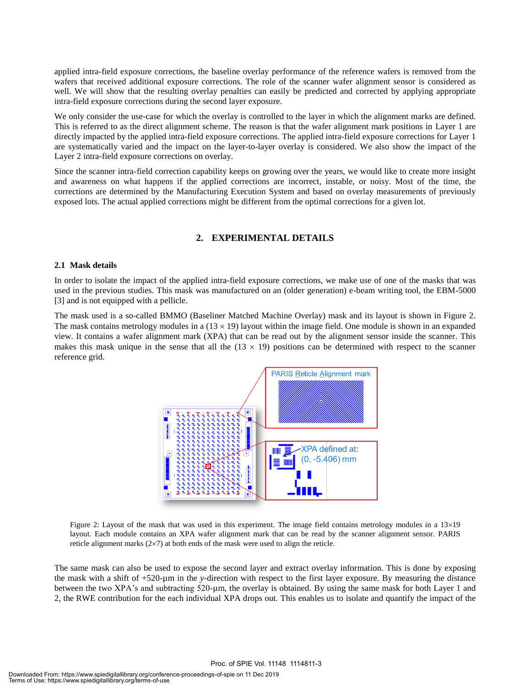applied intra-field exposure corrections, the baseline overlay performance of the reference wafers is removed from the wafers that received additional exposure corrections. The role of the scanner wafer alignment sensor is considered as well. We will show that the resulting overlay penalties can easily be predicted and corrected by applying appropriate intra-field exposure corrections during the second layer exposure.

We only consider the use-case for which the overlay is controlled to the layer in which the alignment marks are defined. This is referred to as the direct alignment scheme. The reason is that the wafer alignment mark positions in Layer 1 are directly impacted by the applied intra-field exposure corrections. The applied intra-field exposure corrections for Layer 1 are systematically varied and the impact on the layer-to-layer overlay is considered. We also show the impact of the Layer 2 intra-field exposure corrections on overlay.

Since the scanner intra-field correction capability keeps on growing over the years, we would like to create more insight and awareness on what happens if the applied corrections are incorrect, instable, or noisy. Most of the time, the corrections are determined by the Manufacturing Execution System and based on overlay measurements of previously exposed lots. The actual applied corrections might be different from the optimal corrections for a given lot.

#### **2. EXPERIMENTAL DETAILS**

#### **2.1 Mask details**

In order to isolate the impact of the applied intra-field exposure corrections, we make use of one of the masks that was used in the previous studies. This mask was manufactured on an (older generation) e-beam writing tool, the EBM-5000 [3] and is not equipped with a pellicle.

The mask used is a so-called BMMO (Baseliner Matched Machine Overlay) mask and its layout is shown in Figure 2. The mask contains metrology modules in a  $(13 \times 19)$  layout within the image field. One module is shown in an expanded view. It contains a wafer alignment mark (XPA) that can be read out by the alignment sensor inside the scanner. This makes this mask unique in the sense that all the  $(13 \times 19)$  positions can be determined with respect to the scanner reference grid.



Figure 2: Layout of the mask that was used in this experiment. The image field contains metrology modules in a  $13\times19$ layout. Each module contains an XPA wafer alignment mark that can be read by the scanner alignment sensor. PARIS reticle alignment marks  $(2\times7)$  at both ends of the mask were used to align the reticle.

The same mask can also be used to expose the second layer and extract overlay information. This is done by exposing the mask with a shift of +520-µm in the *y*-direction with respect to the first layer exposure. By measuring the distance between the two XPA's and subtracting 520-µm, the overlay is obtained. By using the same mask for both Layer 1 and 2, the RWE contribution for the each individual XPA drops out. This enables us to isolate and quantify the impact of the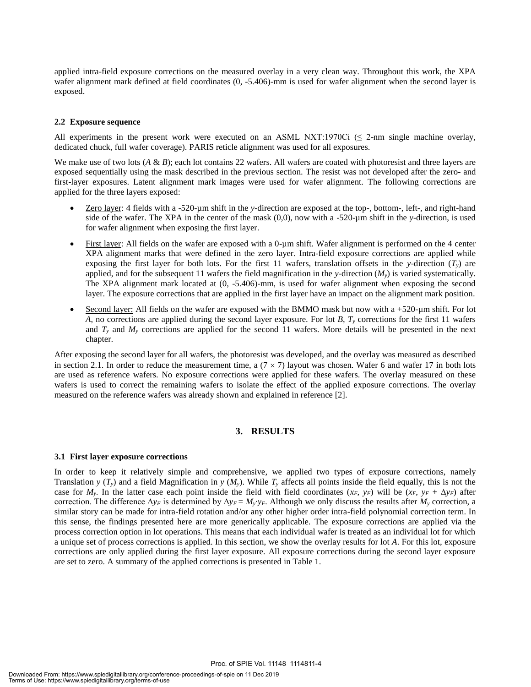applied intra-field exposure corrections on the measured overlay in a very clean way. Throughout this work, the XPA wafer alignment mark defined at field coordinates (0, -5.406)-mm is used for wafer alignment when the second layer is exposed.

#### **2.2 Exposure sequence**

All experiments in the present work were executed on an ASML NXT:1970Ci ( $\leq$  2-nm single machine overlay, dedicated chuck, full wafer coverage). PARIS reticle alignment was used for all exposures.

We make use of two lots (*A & B*); each lot contains 22 wafers. All wafers are coated with photoresist and three layers are exposed sequentially using the mask described in the previous section. The resist was not developed after the zero- and first-layer exposures. Latent alignment mark images were used for wafer alignment. The following corrections are applied for the three layers exposed:

- Zero layer: 4 fields with a -520-µm shift in the *y*-direction are exposed at the top-, bottom-, left-, and right-hand side of the wafer. The XPA in the center of the mask (0,0), now with a -520-µm shift in the *y*-direction, is used for wafer alignment when exposing the first layer.
- First layer: All fields on the wafer are exposed with a 0-µm shift. Wafer alignment is performed on the 4 center XPA alignment marks that were defined in the zero layer. Intra-field exposure corrections are applied while exposing the first layer for both lots. For the first 11 wafers, translation offsets in the *y*-direction  $(T_v)$  are applied, and for the subsequent 11 wafers the field magnification in the *y*-direction  $(M_y)$  is varied systematically. The XPA alignment mark located at (0, -5.406)-mm, is used for wafer alignment when exposing the second layer. The exposure corrections that are applied in the first layer have an impact on the alignment mark position.
- Second layer: All fields on the wafer are exposed with the BMMO mask but now with a +520-µm shift. For lot *A*, no corrections are applied during the second layer exposure. For lot *B*, *T<sup>y</sup>* corrections for the first 11 wafers and  $T_y$  and  $M_y$  corrections are applied for the second 11 wafers. More details will be presented in the next chapter.

After exposing the second layer for all wafers, the photoresist was developed, and the overlay was measured as described in section 2.1. In order to reduce the measurement time, a  $(7 \times 7)$  layout was chosen. Wafer 6 and wafer 17 in both lots are used as reference wafers. No exposure corrections were applied for these wafers. The overlay measured on these wafers is used to correct the remaining wafers to isolate the effect of the applied exposure corrections. The overlay measured on the reference wafers was already shown and explained in reference [2].

#### **3. RESULTS**

#### **3.1 First layer exposure corrections**

In order to keep it relatively simple and comprehensive, we applied two types of exposure corrections, namely Translation *y* ( $T_y$ ) and a field Magnification in *y* ( $M_y$ ). While  $T_y$  affects all points inside the field equally, this is not the case for  $M_y$ . In the latter case each point inside the field with field coordinates  $(x_F, y_F)$  will be  $(x_F, y_F + \Delta y_F)$  after correction. The difference  $\Delta y_F$  is determined by  $\Delta y_F = M_y \cdot y_F$ . Although we only discuss the results after  $M_y$  correction, a similar story can be made for intra-field rotation and/or any other higher order intra-field polynomial correction term. In this sense, the findings presented here are more generically applicable. The exposure corrections are applied via the process correction option in lot operations. This means that each individual wafer is treated as an individual lot for which a unique set of process corrections is applied. In this section, we show the overlay results for lot *A*. For this lot, exposure corrections are only applied during the first layer exposure. All exposure corrections during the second layer exposure are set to zero. A summary of the applied corrections is presented in Table 1.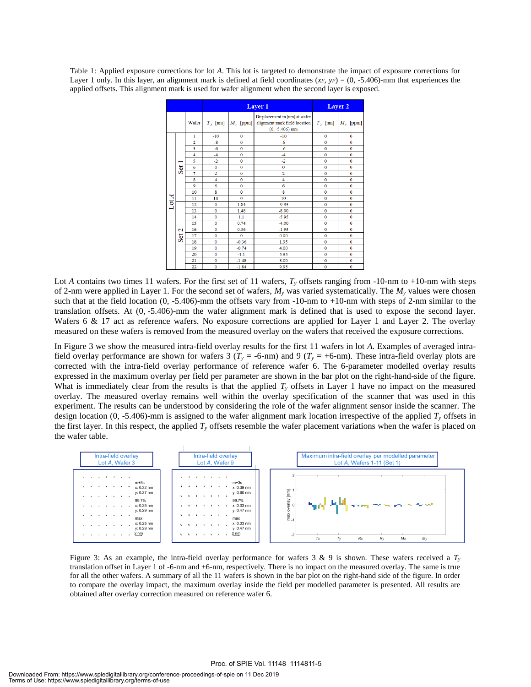Table 1: Applied exposure corrections for lot *A*. This lot is targeted to demonstrate the impact of exposure corrections for Layer 1 only. In this layer, an alignment mark is defined at field coordinates  $(x_F, y_F) = (0, -5.406)$ -mm that experiences the applied offsets. This alignment mark is used for wafer alignment when the second layer is exposed.

|                      |                     |                |                         | Layer 1       | Layer 2                                                                            |              |                     |
|----------------------|---------------------|----------------|-------------------------|---------------|------------------------------------------------------------------------------------|--------------|---------------------|
|                      |                     | Wafer          | $T_{y}$ [nm]            | $M_{y}$ [ppm] | Displacement in [nm] at wafer<br>alignment mark field location<br>$(0, -5.406)$ mm | $T_{y}$ [nm] | $M_{y}$ [ppm]       |
|                      | Set                 | 1              | $-10$                   | $\mathbf 0$   | $-10$                                                                              | $\mathbf 0$  | $\mathbf 0$         |
|                      |                     | $\overline{2}$ | $-8$                    | $\mathbf 0$   | $-8$                                                                               | $\mathbf{0}$ | $\mathbf 0$         |
|                      |                     | 3              | $-6$                    | $\mathbf 0$   | $-6$                                                                               | $\mathbf{0}$ | $\mathbf 0$         |
|                      |                     | $\overline{4}$ | $-4$                    | $\mathbf 0$   | $-4$                                                                               | $\mathbf{0}$ | $\mathbf 0$         |
|                      |                     | 5              | $-2$                    | $\mathbf{0}$  | $-2$                                                                               | $\mathbf{0}$ | $\mathbf{0}$        |
|                      |                     | 6              | $\mathbf{0}$            | $\mathbf{0}$  | $\mathbf 0$                                                                        | $\mathbf 0$  | $\mathbf{0}$        |
|                      |                     | $\overline{7}$ | $\overline{2}$          | $\mathbf 0$   | $\overline{a}$                                                                     | $\mathbf 0$  | $\mathbf 0$         |
|                      |                     | 8              | $\overline{4}$          | $\mathbf 0$   | 4                                                                                  | $\mathbf 0$  | $\mathbf 0$         |
|                      |                     | 9              | 6                       | $\theta$      | 6                                                                                  | $\mathbf 0$  | $\mathbf 0$         |
|                      |                     | 10             | $\overline{\mathbf{8}}$ | $\Omega$      | 8                                                                                  | $\Omega$     | $\Omega$            |
|                      |                     | 11             | 10                      | $\theta$      | 10                                                                                 | $\mathbf 0$  | $\mathbf 0$         |
| $\operatorname{Lot}$ | $\mathbf{c}$<br>Set | 12             | $\mathbf 0$             | 1.84          | $-9.95$                                                                            | $\mathbf{0}$ | $\mathbf 0$         |
|                      |                     | 13             | $\theta$                | 1.48          | $-8.00$                                                                            | $\mathbf{0}$ | $\mathbf 0$         |
|                      |                     | 14             | $\mathbf 0$             | 1.1           | $-5.95$                                                                            | $\mathbf{0}$ | $\mathbf 0$         |
|                      |                     | 15             | $\mathbf 0$             | 0.74          | $-4.00$                                                                            | $\mathbf{0}$ | $\mathbf 0$         |
|                      |                     | 16             | $\mathbf{0}$            | 0.36          | $-1.95$                                                                            | $\mathbf 0$  | $\mathbf 0$         |
|                      |                     | 17             | $\mathbf{0}$            | $\mathbf{0}$  | 0.00                                                                               | $\mathbf{0}$ | $\ddot{\mathbf{0}}$ |
|                      |                     | 18             | $\mathbf{0}$            | $-0.36$       | 1.95                                                                               | $\mathbf{0}$ | $\mathbf{0}$        |
|                      |                     | 19             | $\mathbf{0}$            | $-0.74$       | 4.00                                                                               | $\mathbf 0$  | $\mathbf 0$         |
|                      |                     | 20             | $\mathbf 0$             | $-1.1$        | 5.95                                                                               | $\mathbf 0$  | $\mathbf 0$         |
|                      |                     | 21             | $\mathbf 0$             | $-1.48$       | 8.00                                                                               | $\mathbf 0$  | $\mathbf 0$         |
|                      |                     | 22             | $\mathbf 0$             | $-1.84$       | 9.95                                                                               | $\mathbf 0$  | $\mathbf 0$         |

Lot *A* contains two times 11 wafers. For the first set of 11 wafers,  $T<sub>y</sub>$  offsets ranging from -10-nm to +10-nm with steps of 2-nm were applied in Layer 1. For the second set of wafers,  $M<sub>y</sub>$  was varied systematically. The  $M<sub>y</sub>$  values were chosen such that at the field location (0, -5.406)-mm the offsets vary from -10-nm to +10-nm with steps of 2-nm similar to the translation offsets. At (0, -5.406)-mm the wafer alignment mark is defined that is used to expose the second layer. Wafers 6 & 17 act as reference wafers. No exposure corrections are applied for Layer 1 and Layer 2. The overlay measured on these wafers is removed from the measured overlay on the wafers that received the exposure corrections.

In Figure 3 we show the measured intra-field overlay results for the first 11 wafers in lot *A*. Examples of averaged intrafield overlay performance are shown for wafers 3 ( $T_y = -6$ -nm) and 9 ( $T_y = +6$ -nm). These intra-field overlay plots are corrected with the intra-field overlay performance of reference wafer 6. The 6-parameter modelled overlay results expressed in the maximum overlay per field per parameter are shown in the bar plot on the right-hand-side of the figure. What is immediately clear from the results is that the applied  $T<sub>y</sub>$  offsets in Layer 1 have no impact on the measured overlay. The measured overlay remains well within the overlay specification of the scanner that was used in this experiment. The results can be understood by considering the role of the wafer alignment sensor inside the scanner. The design location (0, -5.406)-mm is assigned to the wafer alignment mark location irrespective of the applied  $T_v$  offsets in the first layer. In this respect, the applied  $T<sub>y</sub>$  offsets resemble the wafer placement variations when the wafer is placed on the wafer table.



Figure 3: As an example, the intra-field overlay performance for wafers 3 & 9 is shown. These wafers received a  $T_y$ translation offset in Layer 1 of -6-nm and +6-nm, respectively. There is no impact on the measured overlay. The same is true for all the other wafers. A summary of all the 11 wafers is shown in the bar plot on the right-hand side of the figure. In order to compare the overlay impact, the maximum overlay inside the field per modelled parameter is presented. All results are obtained after overlay correction measured on reference wafer 6.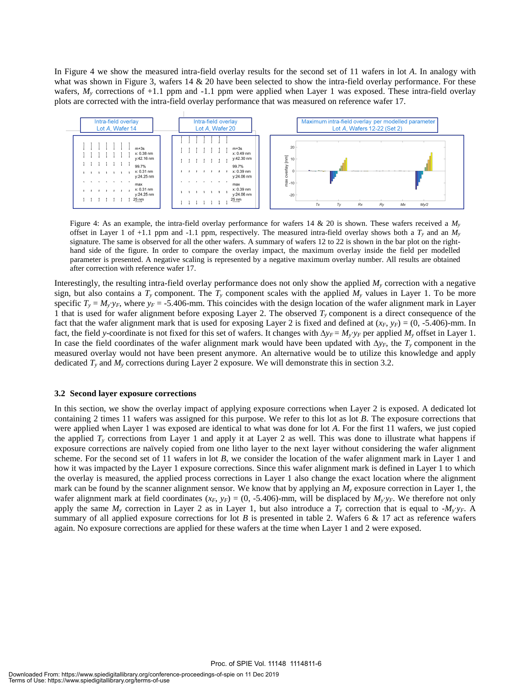In Figure 4 we show the measured intra-field overlay results for the second set of 11 wafers in lot *A*. In analogy with what was shown in Figure 3, wafers 14  $\&$  20 have been selected to show the intra-field overlay performance. For these wafers,  $M_y$  corrections of  $+1.1$  ppm and  $-1.1$  ppm were applied when Layer 1 was exposed. These intra-field overlay plots are corrected with the intra-field overlay performance that was measured on reference wafer 17.



Figure 4: As an example, the intra-field overlay performance for wafers 14 & 20 is shown. These wafers received a *M<sup>y</sup>* offset in Layer 1 of +1.1 ppm and -1.1 ppm, respectively. The measured intra-field overlay shows both a *T<sup>y</sup>* and an *M<sup>y</sup>* signature. The same is observed for all the other wafers. A summary of wafers 12 to 22 is shown in the bar plot on the righthand side of the figure. In order to compare the overlay impact, the maximum overlay inside the field per modelled parameter is presented. A negative scaling is represented by a negative maximum overlay number. All results are obtained after correction with reference wafer 17.

Interestingly, the resulting intra-field overlay performance does not only show the applied *M<sup>y</sup>* correction with a negative sign, but also contains a  $T_y$  component. The  $T_y$  component scales with the applied  $M_y$  values in Layer 1. To be more specific  $T_y = M_y \cdot y_F$ , where  $y_F = -5.406$ -mm. This coincides with the design location of the wafer alignment mark in Layer 1 that is used for wafer alignment before exposing Layer 2. The observed *T<sup>y</sup>* component is a direct consequence of the fact that the wafer alignment mark that is used for exposing Layer 2 is fixed and defined at  $(x_F, y_F) = (0, -5.406)$ -mm. In fact, the field *y*-coordinate is not fixed for this set of wafers. It changes with  $\Delta y_F = M_y \cdot y_F$  per applied  $M_y$  offset in Layer 1. In case the field coordinates of the wafer alignment mark would have been updated with ∆*yF*, the *T<sup>y</sup>* component in the measured overlay would not have been present anymore. An alternative would be to utilize this knowledge and apply dedicated *T<sup>y</sup>* and *M<sup>y</sup>* corrections during Layer 2 exposure. We will demonstrate this in section 3.2.

#### **3.2 Second layer exposure corrections**

In this section, we show the overlay impact of applying exposure corrections when Layer 2 is exposed. A dedicated lot containing 2 times 11 wafers was assigned for this purpose. We refer to this lot as lot *B*. The exposure corrections that were applied when Layer 1 was exposed are identical to what was done for lot *A*. For the first 11 wafers, we just copied the applied  $T<sub>y</sub>$  corrections from Layer 1 and apply it at Layer 2 as well. This was done to illustrate what happens if exposure corrections are naïvely copied from one litho layer to the next layer without considering the wafer alignment scheme. For the second set of 11 wafers in lot *B*, we consider the location of the wafer alignment mark in Layer 1 and how it was impacted by the Layer 1 exposure corrections. Since this wafer alignment mark is defined in Layer 1 to which the overlay is measured, the applied process corrections in Layer 1 also change the exact location where the alignment mark can be found by the scanner alignment sensor. We know that by applying an *M<sup>y</sup>* exposure correction in Layer 1, the wafer alignment mark at field coordinates  $(x_F, y_F) = (0, -5.406)$ -mm, will be displaced by  $M_y \, y_F$ . We therefore not only apply the same  $M_y$  correction in Layer 2 as in Layer 1, but also introduce a  $T_y$  correction that is equal to - $M_y$ <sup>*y*</sup>*F*. A summary of all applied exposure corrections for lot *B* is presented in table 2. Wafers 6 & 17 act as reference wafers again. No exposure corrections are applied for these wafers at the time when Layer 1 and 2 were exposed.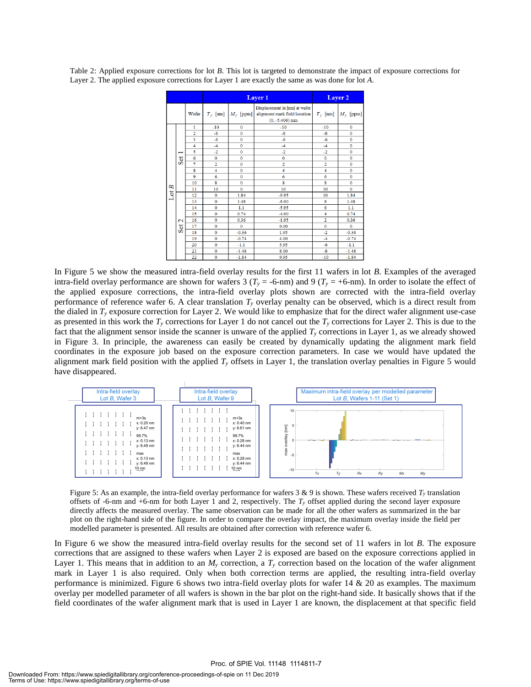|      |                          |                | <b>Layer 1</b> | Layer 2             |                                                                                    |                |               |
|------|--------------------------|----------------|----------------|---------------------|------------------------------------------------------------------------------------|----------------|---------------|
|      |                          | Wafer          | $T_{v}$ [nm]   | $M_{y}$ [ppm]       | Displacement in [nm] at wafer<br>alignment mark field location<br>$(0, -5.406)$ mm | $T_{v}$ [nm]   | $M_{y}$ [ppm] |
| LotB | −<br>Set                 | 1              | $-10$          | $\mathbf 0$         | $-10$                                                                              | $-10$          | $\mathbf 0$   |
|      |                          | $\overline{a}$ | $-8$           | $\mathbf 0$         | $-8$                                                                               | $-8$           | $\mathbf 0$   |
|      |                          | 3              | $-6$           | $\mathbf 0$         | $-6$                                                                               | $-6$           | $\mathbf{0}$  |
|      |                          | $\overline{4}$ | $-4$           | $\mathbf 0$         | $-4$                                                                               | $-4$           | $\mathbf{0}$  |
|      |                          | 5              | $-2$           | $\mathbf 0$         | $-2$                                                                               | $-2$           | $\mathbf{0}$  |
|      |                          | 6              | $\mathbf 0$    | $\mathbf 0$         | $\bf{0}$                                                                           | $\mathbf 0$    | $\mathbf 0$   |
|      |                          | $\overline{7}$ | $\overline{2}$ | $\ddot{\mathbf{0}}$ | $\overline{2}$                                                                     | $\overline{2}$ | $\mathbf 0$   |
|      |                          | 8              | $\overline{4}$ | $\mathbf 0$         | 4                                                                                  | $\overline{4}$ | $\mathbf{0}$  |
|      |                          | 9              | 6              | $\mathbf{0}$        | 6                                                                                  | 6              | $\mathbf{0}$  |
|      |                          | 10             | 8              | $\ddot{\mathbf{0}}$ | 8                                                                                  | 8              | $\mathbf{0}$  |
|      |                          | 11             | 10             | $\mathbf 0$         | 10                                                                                 | 10             | $\mathbf{0}$  |
|      | $\mathbf{\Omega}$<br>Set | 12             | $\mathbf 0$    | 1.84                | $-9.95$                                                                            | 10             | 1.84          |
|      |                          | 13             | $\mathbf 0$    | 1.48                | $-8.00$                                                                            | 8              | 1.48          |
|      |                          | 14             | $\mathbf 0$    | 1.1                 | $-5.95$                                                                            | 6              | 1.1           |
|      |                          | 15             | $\mathbf 0$    | 0.74                | $-4.00$                                                                            | 4              | 0.74          |
|      |                          | 16             | $\mathbf 0$    | 0.36                | $-1.95$                                                                            | $\overline{a}$ | 0.36          |
|      |                          | 17             | $\mathbf 0$    | $\Omega$            | 0.00                                                                               | $\mathbf 0$    | $\mathbf{0}$  |
|      |                          | 18             | $\mathbf 0$    | $-0.36$             | 1.95                                                                               | $-2$           | $-0.36$       |
|      |                          | 19             | $\mathbf 0$    | $-0.74$             | 4.00                                                                               | $-4$           | $-0.74$       |
|      |                          | 20             | $\mathbf 0$    | $-1.1$              | 5.95                                                                               | $-6$           | $-1.1$        |
|      |                          | 21             | $\mathbf 0$    | $-1.48$             | 8.00                                                                               | $-8$           | $-1.48$       |
|      |                          | 22             | $\mathbf{0}$   | $-1.84$             | 9.95                                                                               | $-10$          | $-1.84$       |

Table 2: Applied exposure corrections for lot *B*. This lot is targeted to demonstrate the impact of exposure corrections for Layer 2. The applied exposure corrections for Layer 1 are exactly the same as was done for lot *A*.

In Figure 5 we show the measured intra-field overlay results for the first 11 wafers in lot *B*. Examples of the averaged intra-field overlay performance are shown for wafers 3 ( $T<sub>y</sub>$  = -6-nm) and 9 ( $T<sub>y</sub>$  = +6-nm). In order to isolate the effect of the applied exposure corrections, the intra-field overlay plots shown are corrected with the intra-field overlay performance of reference wafer 6. A clear translation  $T<sub>y</sub>$  overlay penalty can be observed, which is a direct result from the dialed in  $T<sub>y</sub>$  exposure correction for Layer 2. We would like to emphasize that for the direct wafer alignment use-case as presented in this work the  $T_\nu$  corrections for Layer 1 do not cancel out the  $T_\nu$  corrections for Layer 2. This is due to the fact that the alignment sensor inside the scanner is unware of the applied *T<sup>y</sup>* corrections in Layer 1, as we already showed in Figure 3. In principle, the awareness can easily be created by dynamically updating the alignment mark field coordinates in the exposure job based on the exposure correction parameters. In case we would have updated the alignment mark field position with the applied  $T<sub>y</sub>$  offsets in Layer 1, the translation overlay penalties in Figure 5 would have disappeared.



Figure 5: As an example, the intra-field overlay performance for wafers  $3 \& 9$  is shown. These wafers received  $T<sub>y</sub>$  translation offsets of -6-nm and +6-nm for both Layer 1 and 2, respectively. The *T<sup>y</sup>* offset applied during the second layer exposure directly affects the measured overlay. The same observation can be made for all the other wafers as summarized in the bar plot on the right-hand side of the figure. In order to compare the overlay impact, the maximum overlay inside the field per modelled parameter is presented. All results are obtained after correction with reference wafer 6.

In Figure 6 we show the measured intra-field overlay results for the second set of 11 wafers in lot *B*. The exposure corrections that are assigned to these wafers when Layer 2 is exposed are based on the exposure corrections applied in Layer 1. This means that in addition to an  $M<sub>y</sub>$  correction, a  $T<sub>y</sub>$  correction based on the location of the wafer alignment mark in Layer 1 is also required. Only when both correction terms are applied, the resulting intra-field overlay performance is minimized. Figure 6 shows two intra-field overlay plots for wafer 14 & 20 as examples. The maximum overlay per modelled parameter of all wafers is shown in the bar plot on the right-hand side. It basically shows that if the field coordinates of the wafer alignment mark that is used in Layer 1 are known, the displacement at that specific field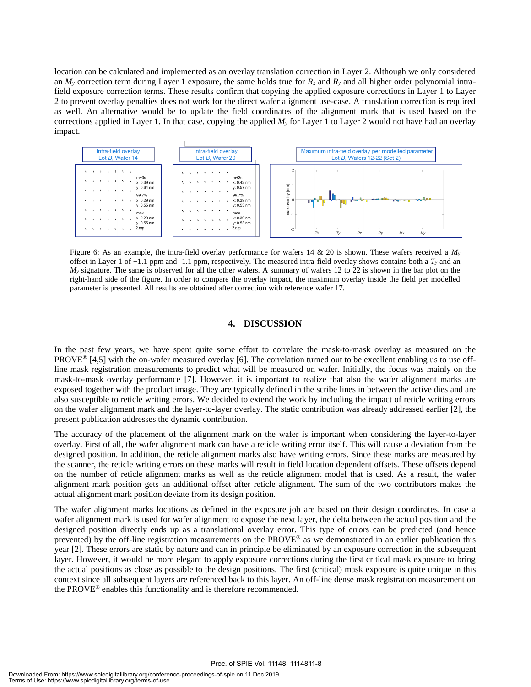location can be calculated and implemented as an overlay translation correction in Layer 2. Although we only considered an  $M_y$  correction term during Layer 1 exposure, the same holds true for  $R_x$  and  $R_y$  and all higher order polynomial intrafield exposure correction terms. These results confirm that copying the applied exposure corrections in Layer 1 to Layer 2 to prevent overlay penalties does not work for the direct wafer alignment use-case. A translation correction is required as well. An alternative would be to update the field coordinates of the alignment mark that is used based on the corrections applied in Layer 1. In that case, copying the applied  $M<sub>y</sub>$  for Layer 1 to Layer 2 would not have had an overlay impact.



Figure 6: As an example, the intra-field overlay performance for wafers 14 & 20 is shown. These wafers received a *M<sup>y</sup>* offset in Layer 1 of +1.1 ppm and -1.1 ppm, respectively. The measured intra-field overlay shows contains both a *T<sup>y</sup>* and an *M<sub>y</sub>* signature. The same is observed for all the other wafers. A summary of wafers 12 to 22 is shown in the bar plot on the right-hand side of the figure. In order to compare the overlay impact, the maximum overlay inside the field per modelled parameter is presented. All results are obtained after correction with reference wafer 17.

#### **4. DISCUSSION**

In the past few years, we have spent quite some effort to correlate the mask-to-mask overlay as measured on the PROVE<sup>®</sup> [4,5] with the on-wafer measured overlay [6]. The correlation turned out to be excellent enabling us to use offline mask registration measurements to predict what will be measured on wafer. Initially, the focus was mainly on the mask-to-mask overlay performance [7]. However, it is important to realize that also the wafer alignment marks are exposed together with the product image. They are typically defined in the scribe lines in between the active dies and are also susceptible to reticle writing errors. We decided to extend the work by including the impact of reticle writing errors on the wafer alignment mark and the layer-to-layer overlay. The static contribution was already addressed earlier [2], the present publication addresses the dynamic contribution.

The accuracy of the placement of the alignment mark on the wafer is important when considering the layer-to-layer overlay. First of all, the wafer alignment mark can have a reticle writing error itself. This will cause a deviation from the designed position. In addition, the reticle alignment marks also have writing errors. Since these marks are measured by the scanner, the reticle writing errors on these marks will result in field location dependent offsets. These offsets depend on the number of reticle alignment marks as well as the reticle alignment model that is used. As a result, the wafer alignment mark position gets an additional offset after reticle alignment. The sum of the two contributors makes the actual alignment mark position deviate from its design position.

The wafer alignment marks locations as defined in the exposure job are based on their design coordinates. In case a wafer alignment mark is used for wafer alignment to expose the next layer, the delta between the actual position and the designed position directly ends up as a translational overlay error. This type of errors can be predicted (and hence prevented) by the off-line registration measurements on the PROVE® as we demonstrated in an earlier publication this year [2]. These errors are static by nature and can in principle be eliminated by an exposure correction in the subsequent layer. However, it would be more elegant to apply exposure corrections during the first critical mask exposure to bring the actual positions as close as possible to the design positions. The first (critical) mask exposure is quite unique in this context since all subsequent layers are referenced back to this layer. An off-line dense mask registration measurement on the PROVE® enables this functionality and is therefore recommended.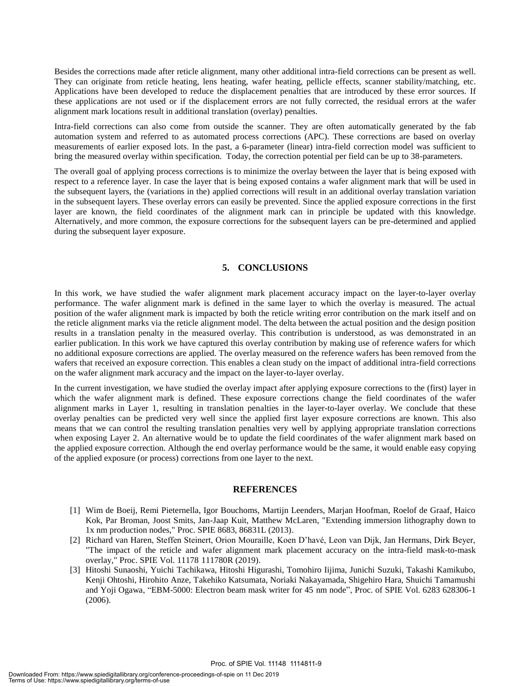Besides the corrections made after reticle alignment, many other additional intra-field corrections can be present as well. They can originate from reticle heating, lens heating, wafer heating, pellicle effects, scanner stability/matching, etc. Applications have been developed to reduce the displacement penalties that are introduced by these error sources. If these applications are not used or if the displacement errors are not fully corrected, the residual errors at the wafer alignment mark locations result in additional translation (overlay) penalties.

Intra-field corrections can also come from outside the scanner. They are often automatically generated by the fab automation system and referred to as automated process corrections (APC). These corrections are based on overlay measurements of earlier exposed lots. In the past, a 6-parameter (linear) intra-field correction model was sufficient to bring the measured overlay within specification. Today, the correction potential per field can be up to 38-parameters.

The overall goal of applying process corrections is to minimize the overlay between the layer that is being exposed with respect to a reference layer. In case the layer that is being exposed contains a wafer alignment mark that will be used in the subsequent layers, the (variations in the) applied corrections will result in an additional overlay translation variation in the subsequent layers. These overlay errors can easily be prevented. Since the applied exposure corrections in the first layer are known, the field coordinates of the alignment mark can in principle be updated with this knowledge. Alternatively, and more common, the exposure corrections for the subsequent layers can be pre-determined and applied during the subsequent layer exposure.

#### **5. CONCLUSIONS**

In this work, we have studied the wafer alignment mark placement accuracy impact on the layer-to-layer overlay performance. The wafer alignment mark is defined in the same layer to which the overlay is measured. The actual position of the wafer alignment mark is impacted by both the reticle writing error contribution on the mark itself and on the reticle alignment marks via the reticle alignment model. The delta between the actual position and the design position results in a translation penalty in the measured overlay. This contribution is understood, as was demonstrated in an earlier publication. In this work we have captured this overlay contribution by making use of reference wafers for which no additional exposure corrections are applied. The overlay measured on the reference wafers has been removed from the wafers that received an exposure correction. This enables a clean study on the impact of additional intra-field corrections on the wafer alignment mark accuracy and the impact on the layer-to-layer overlay.

In the current investigation, we have studied the overlay impact after applying exposure corrections to the (first) layer in which the wafer alignment mark is defined. These exposure corrections change the field coordinates of the wafer alignment marks in Layer 1, resulting in translation penalties in the layer-to-layer overlay. We conclude that these overlay penalties can be predicted very well since the applied first layer exposure corrections are known. This also means that we can control the resulting translation penalties very well by applying appropriate translation corrections when exposing Layer 2. An alternative would be to update the field coordinates of the wafer alignment mark based on the applied exposure correction. Although the end overlay performance would be the same, it would enable easy copying of the applied exposure (or process) corrections from one layer to the next.

#### **REFERENCES**

- [1] Wim de Boeij, Remi Pieternella, Igor Bouchoms, Martijn Leenders, Marjan Hoofman, Roelof de Graaf, Haico Kok, Par Broman, Joost Smits, Jan-Jaap Kuit, Matthew McLaren, "Extending immersion lithography down to 1x nm production nodes," Proc. SPIE 8683, 86831L (2013).
- [2] Richard van Haren, Steffen Steinert, Orion Mouraille, Koen D'havé, Leon van Dijk, Jan Hermans, Dirk Beyer, "The impact of the reticle and wafer alignment mark placement accuracy on the intra-field mask-to-mask overlay," Proc. SPIE Vol. 11178 111780R (2019).
- [3] Hitoshi Sunaoshi, Yuichi Tachikawa, Hitoshi Higurashi, Tomohiro Iijima, Junichi Suzuki, Takashi Kamikubo, Kenji Ohtoshi, Hirohito Anze, Takehiko Katsumata, Noriaki Nakayamada, Shigehiro Hara, Shuichi Tamamushi and Yoji Ogawa, "EBM-5000: Electron beam mask writer for 45 nm node", Proc. of SPIE Vol. 6283 628306-1 (2006).